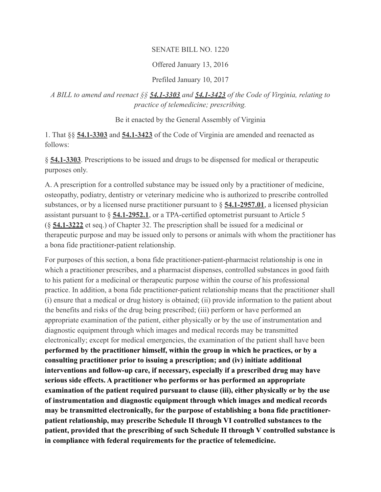### SENATE BILL NO. 1220

### Offered January 13, 2016

#### Prefiled January 10, 2017

## *A BILL to amend and reenact §§ [54.1-3303](https://vacode.org/54.1-3303) and [54.1-3423](https://vacode.org/54.1-3423) of the Code of Virginia, relating to practice of telemedicine; prescribing.*

Be it enacted by the General Assembly of Virginia

1. That §§ **[54.1-3303](https://vacode.org/54.1-3303)** and **[54.1-3423](https://vacode.org/54.1-3423)** of the Code of Virginia are amended and reenacted as follows:

§ **[54.1-3303](https://vacode.org/54.1-3303)**. Prescriptions to be issued and drugs to be dispensed for medical or therapeutic purposes only.

A. A prescription for a controlled substance may be issued only by a practitioner of medicine, osteopathy, podiatry, dentistry or veterinary medicine who is authorized to prescribe controlled substances, or by a licensed nurse practitioner pursuant to § **[54.1-2957.01](https://vacode.org/54.1-2957.01)**, a licensed physician assistant pursuant to § **[54.1-2952.1](https://vacode.org/54.1-2952.1)**, or a TPA-certified optometrist pursuant to Article 5 (§ **[54.1-3222](https://vacode.org/54.1-3222)** et seq.) of Chapter 32. The prescription shall be issued for a medicinal or therapeutic purpose and may be issued only to persons or animals with whom the practitioner has a bona fide practitioner-patient relationship.

For purposes of this section, a bona fide practitioner-patient-pharmacist relationship is one in which a practitioner prescribes, and a pharmacist dispenses, controlled substances in good faith to his patient for a medicinal or therapeutic purpose within the course of his professional practice. In addition, a bona fide practitioner-patient relationship means that the practitioner shall (i) ensure that a medical or drug history is obtained; (ii) provide information to the patient about the benefits and risks of the drug being prescribed; (iii) perform or have performed an appropriate examination of the patient, either physically or by the use of instrumentation and diagnostic equipment through which images and medical records may be transmitted electronically; except for medical emergencies, the examination of the patient shall have been **performed by the practitioner himself, within the group in which he practices, or by a consulting practitioner prior to issuing a prescription; and (iv) initiate additional interventions and follow-up care, if necessary, especially if a prescribed drug may have serious side effects. A practitioner who performs or has performed an appropriate examination of the patient required pursuant to clause (iii), either physically or by the use of instrumentation and diagnostic equipment through which images and medical records may be transmitted electronically, for the purpose of establishing a bona fide practitionerpatient relationship, may prescribe Schedule II through VI controlled substances to the patient, provided that the prescribing of such Schedule II through V controlled substance is in compliance with federal requirements for the practice of telemedicine.**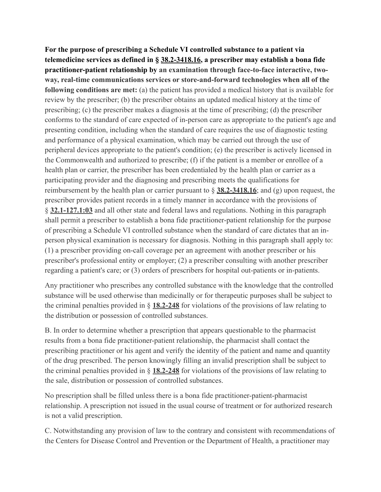**For the purpose of prescribing a Schedule VI controlled substance to a patient via telemedicine services as defined in § [38.2-3418.16,](https://vacode.org/38.2-3418.16) a prescriber may establish a bona fide practitioner-patient relationship by an examination through face-to-face interactive, twoway, real-time communications services or store-and-forward technologies when all of the following conditions are met:** (a) the patient has provided a medical history that is available for review by the prescriber; (b) the prescriber obtains an updated medical history at the time of prescribing; (c) the prescriber makes a diagnosis at the time of prescribing; (d) the prescriber conforms to the standard of care expected of in-person care as appropriate to the patient's age and presenting condition, including when the standard of care requires the use of diagnostic testing and performance of a physical examination, which may be carried out through the use of peripheral devices appropriate to the patient's condition; (e) the prescriber is actively licensed in the Commonwealth and authorized to prescribe; (f) if the patient is a member or enrollee of a health plan or carrier, the prescriber has been credentialed by the health plan or carrier as a participating provider and the diagnosing and prescribing meets the qualifications for reimbursement by the health plan or carrier pursuant to § **[38.2-3418.16](https://vacode.org/38.2-3418.16)**; and (g) upon request, the prescriber provides patient records in a timely manner in accordance with the provisions of § **[32.1-127.1:03](https://vacode.org/32.1-127.1:03)** and all other state and federal laws and regulations. Nothing in this paragraph shall permit a prescriber to establish a bona fide practitioner-patient relationship for the purpose of prescribing a Schedule VI controlled substance when the standard of care dictates that an inperson physical examination is necessary for diagnosis. Nothing in this paragraph shall apply to: (1) a prescriber providing on-call coverage per an agreement with another prescriber or his prescriber's professional entity or employer; (2) a prescriber consulting with another prescriber regarding a patient's care; or (3) orders of prescribers for hospital out-patients or in-patients.

Any practitioner who prescribes any controlled substance with the knowledge that the controlled substance will be used otherwise than medicinally or for therapeutic purposes shall be subject to the criminal penalties provided in § **[18.2-248](https://vacode.org/18.2-248)** for violations of the provisions of law relating to the distribution or possession of controlled substances.

B. In order to determine whether a prescription that appears questionable to the pharmacist results from a bona fide practitioner-patient relationship, the pharmacist shall contact the prescribing practitioner or his agent and verify the identity of the patient and name and quantity of the drug prescribed. The person knowingly filling an invalid prescription shall be subject to the criminal penalties provided in § **[18.2-248](https://vacode.org/18.2-248)** for violations of the provisions of law relating to the sale, distribution or possession of controlled substances.

No prescription shall be filled unless there is a bona fide practitioner-patient-pharmacist relationship. A prescription not issued in the usual course of treatment or for authorized research is not a valid prescription.

C. Notwithstanding any provision of law to the contrary and consistent with recommendations of the Centers for Disease Control and Prevention or the Department of Health, a practitioner may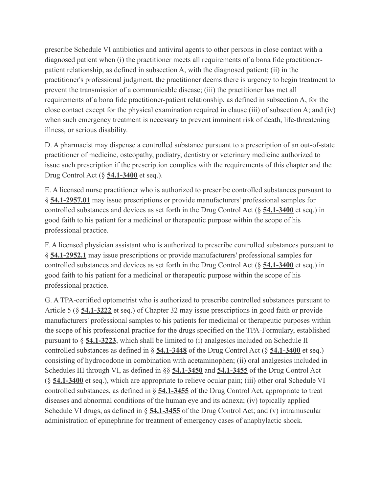prescribe Schedule VI antibiotics and antiviral agents to other persons in close contact with a diagnosed patient when (i) the practitioner meets all requirements of a bona fide practitionerpatient relationship, as defined in subsection A, with the diagnosed patient; (ii) in the practitioner's professional judgment, the practitioner deems there is urgency to begin treatment to prevent the transmission of a communicable disease; (iii) the practitioner has met all requirements of a bona fide practitioner-patient relationship, as defined in subsection A, for the close contact except for the physical examination required in clause (iii) of subsection A; and (iv) when such emergency treatment is necessary to prevent imminent risk of death, life-threatening illness, or serious disability.

D. A pharmacist may dispense a controlled substance pursuant to a prescription of an out-of-state practitioner of medicine, osteopathy, podiatry, dentistry or veterinary medicine authorized to issue such prescription if the prescription complies with the requirements of this chapter and the Drug Control Act (§ **[54.1-3400](https://vacode.org/54.1-3400)** et seq.).

E. A licensed nurse practitioner who is authorized to prescribe controlled substances pursuant to § **[54.1-2957.01](https://vacode.org/54.1-2957.01)** may issue prescriptions or provide manufacturers' professional samples for controlled substances and devices as set forth in the Drug Control Act (§ **[54.1-3400](https://vacode.org/54.1-3400)** et seq.) in good faith to his patient for a medicinal or therapeutic purpose within the scope of his professional practice.

F. A licensed physician assistant who is authorized to prescribe controlled substances pursuant to § **[54.1-2952.1](https://vacode.org/54.1-2952.1)** may issue prescriptions or provide manufacturers' professional samples for controlled substances and devices as set forth in the Drug Control Act (§ **[54.1-3400](https://vacode.org/54.1-3400)** et seq.) in good faith to his patient for a medicinal or therapeutic purpose within the scope of his professional practice.

G. A TPA-certified optometrist who is authorized to prescribe controlled substances pursuant to Article 5 (§ **[54.1-3222](https://vacode.org/54.1-3222)** et seq.) of Chapter 32 may issue prescriptions in good faith or provide manufacturers' professional samples to his patients for medicinal or therapeutic purposes within the scope of his professional practice for the drugs specified on the TPA-Formulary, established pursuant to § **[54.1-3223](https://vacode.org/54.1-3223)**, which shall be limited to (i) analgesics included on Schedule II controlled substances as defined in § **[54.1-3448](https://vacode.org/54.1-3448)** of the Drug Control Act (§ **[54.1-3400](https://vacode.org/54.1-3400)** et seq.) consisting of hydrocodone in combination with acetaminophen; (ii) oral analgesics included in Schedules III through VI, as defined in §§ **[54.1-3450](https://vacode.org/54.1-3450)** and **[54.1-3455](https://vacode.org/54.1-3455)** of the Drug Control Act (§ **[54.1-3400](https://vacode.org/54.1-3400)** et seq.), which are appropriate to relieve ocular pain; (iii) other oral Schedule VI controlled substances, as defined in § **[54.1-3455](https://vacode.org/54.1-3455)** of the Drug Control Act, appropriate to treat diseases and abnormal conditions of the human eye and its adnexa; (iv) topically applied Schedule VI drugs, as defined in § **[54.1-3455](https://vacode.org/54.1-3455)** of the Drug Control Act; and (v) intramuscular administration of epinephrine for treatment of emergency cases of anaphylactic shock.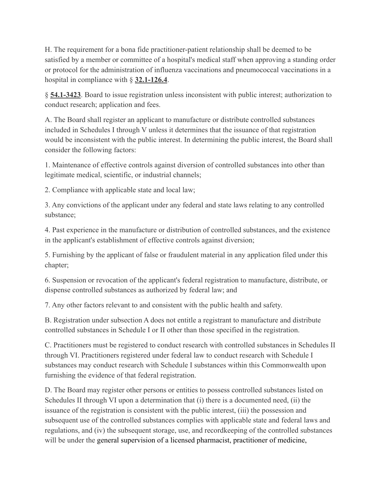H. The requirement for a bona fide practitioner-patient relationship shall be deemed to be satisfied by a member or committee of a hospital's medical staff when approving a standing order or protocol for the administration of influenza vaccinations and pneumococcal vaccinations in a hospital in compliance with § **[32.1-126.4](https://vacode.org/32.1-126.4)**.

§ **[54.1-3423](https://vacode.org/54.1-3423)**. Board to issue registration unless inconsistent with public interest; authorization to conduct research; application and fees.

A. The Board shall register an applicant to manufacture or distribute controlled substances included in Schedules I through V unless it determines that the issuance of that registration would be inconsistent with the public interest. In determining the public interest, the Board shall consider the following factors:

1. Maintenance of effective controls against diversion of controlled substances into other than legitimate medical, scientific, or industrial channels;

2. Compliance with applicable state and local law;

3. Any convictions of the applicant under any federal and state laws relating to any controlled substance;

4. Past experience in the manufacture or distribution of controlled substances, and the existence in the applicant's establishment of effective controls against diversion;

5. Furnishing by the applicant of false or fraudulent material in any application filed under this chapter;

6. Suspension or revocation of the applicant's federal registration to manufacture, distribute, or dispense controlled substances as authorized by federal law; and

7. Any other factors relevant to and consistent with the public health and safety.

B. Registration under subsection A does not entitle a registrant to manufacture and distribute controlled substances in Schedule I or II other than those specified in the registration.

C. Practitioners must be registered to conduct research with controlled substances in Schedules II through VI. Practitioners registered under federal law to conduct research with Schedule I substances may conduct research with Schedule I substances within this Commonwealth upon furnishing the evidence of that federal registration.

D. The Board may register other persons or entities to possess controlled substances listed on Schedules II through VI upon a determination that (i) there is a documented need, (ii) the issuance of the registration is consistent with the public interest, (iii) the possession and subsequent use of the controlled substances complies with applicable state and federal laws and regulations, and (iv) the subsequent storage, use, and recordkeeping of the controlled substances will be under the general supervision of a licensed pharmacist, practitioner of medicine,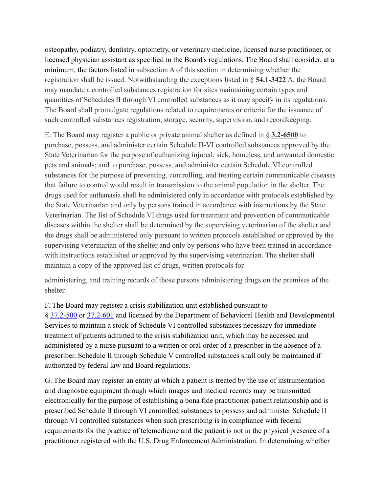osteopathy, podiatry, dentistry, optometry, or veterinary medicine, licensed nurse practitioner, or licensed physician assistant as specified in the Board's regulations. The Board shall consider, at a minimum, the factors listed in subsection A of this section in determining whether the registration shall be issued. Notwithstanding the exceptions listed in § **[54.1-3422](https://vacode.org/54.1-3422)** A, the Board may mandate a controlled substances registration for sites maintaining certain types and quantities of Schedules II through VI controlled substances as it may specify in its regulations. The Board shall promulgate regulations related to requirements or criteria for the issuance of such controlled substances registration, storage, security, supervision, and recordkeeping.

E. The Board may register a public or private animal shelter as defined in § **[3.2-6500](https://vacode.org/3.2-6500)** to purchase, possess, and administer certain Schedule II-VI controlled substances approved by the State Veterinarian for the purpose of euthanizing injured, sick, homeless, and unwanted domestic pets and animals; and to purchase, possess, and administer certain Schedule VI controlled substances for the purpose of preventing, controlling, and treating certain communicable diseases that failure to control would result in transmission to the animal population in the shelter. The drugs used for euthanasia shall be administered only in accordance with protocols established by the State Veterinarian and only by persons trained in accordance with instructions by the State Veterinarian. The list of Schedule VI drugs used for treatment and prevention of communicable diseases within the shelter shall be determined by the supervising veterinarian of the shelter and the drugs shall be administered only pursuant to written protocols established or approved by the supervising veterinarian of the shelter and only by persons who have been trained in accordance with instructions established or approved by the supervising veterinarian. The shelter shall maintain a copy of the approved list of drugs, written protocols for

administering, and training records of those persons administering drugs on the premises of the shelter.

F. The Board may register a crisis stabilization unit established pursuant to § [37.2-500](https://vacode.org/37.2-500) or [37.2-601](https://vacode.org/37.2-601) and licensed by the Department of Behavioral Health and Developmental Services to maintain a stock of Schedule VI controlled substances necessary for immediate treatment of patients admitted to the crisis stabilization unit, which may be accessed and administered by a nurse pursuant to a written or oral order of a prescriber in the absence of a prescriber. Schedule II through Schedule V controlled substances shall only be maintained if authorized by federal law and Board regulations.

G. The Board may register an entity at which a patient is treated by the use of instrumentation and diagnostic equipment through which images and medical records may be transmitted electronically for the purpose of establishing a bona fide practitioner-patient relationship and is prescribed Schedule II through VI controlled substances to possess and administer Schedule II through VI controlled substances when such prescribing is in compliance with federal requirements for the practice of telemedicine and the patient is not in the physical presence of a practitioner registered with the U.S. Drug Enforcement Administration. In determining whether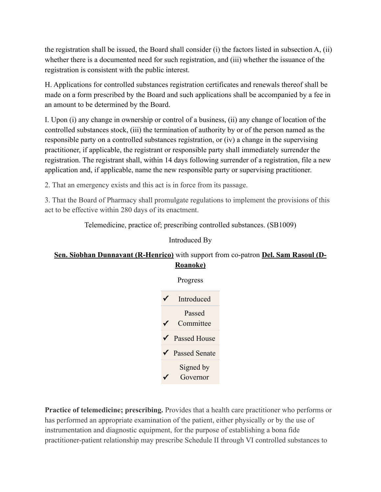the registration shall be issued, the Board shall consider (i) the factors listed in subsection A, (ii) whether there is a documented need for such registration, and (iii) whether the issuance of the registration is consistent with the public interest.

H. Applications for controlled substances registration certificates and renewals thereof shall be made on a form prescribed by the Board and such applications shall be accompanied by a fee in an amount to be determined by the Board.

I. Upon (i) any change in ownership or control of a business, (ii) any change of location of the controlled substances stock, (iii) the termination of authority by or of the person named as the responsible party on a controlled substances registration, or (iv) a change in the supervising practitioner, if applicable, the registrant or responsible party shall immediately surrender the registration. The registrant shall, within 14 days following surrender of a registration, file a new application and, if applicable, name the new responsible party or supervising practitioner.

2. That an emergency exists and this act is in force from its passage.

3. That the Board of Pharmacy shall promulgate regulations to implement the provisions of this act to be effective within 280 days of its enactment.

Telemedicine, practice of; prescribing controlled substances. (SB1009)

## Introduced By

# **[Sen. Siobhan Dunnavant \(R-Henrico\)](https://www.richmondsunlight.com/legislator/ssdunnavant/)** with support from co-patron **[Del. Sam Rasoul \(D-](https://www.richmondsunlight.com/legislator/srasoul/)[Roanoke\)](https://www.richmondsunlight.com/legislator/srasoul/)**



**Practice of telemedicine; prescribing.** Provides that a health care practitioner who performs or has performed an appropriate examination of the patient, either physically or by the use of instrumentation and diagnostic equipment, for the purpose of establishing a bona fide practitioner-patient relationship may prescribe Schedule II through VI controlled substances to